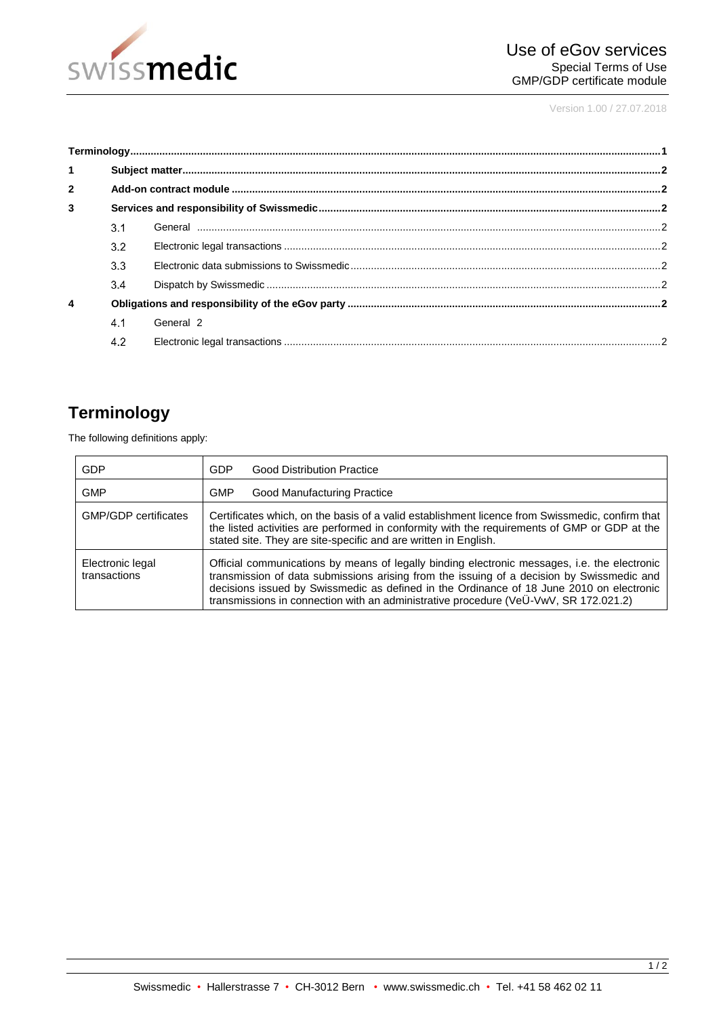

Version 1.00 / 27.07.2018

| $\blacktriangleleft$ |     |           |  |
|----------------------|-----|-----------|--|
| $\overline{2}$       |     |           |  |
| 3                    |     |           |  |
|                      | 3.1 |           |  |
|                      | 3.2 |           |  |
|                      | 3.3 |           |  |
|                      | 3.4 |           |  |
| $\overline{4}$       |     |           |  |
|                      | 4.1 | General 2 |  |
|                      | 4.2 |           |  |

# <span id="page-0-0"></span>**Terminology**

The following definitions apply:

| GDP                              | GDP<br><b>Good Distribution Practice</b>                                                                                                                                                                                                                                                                                                                                      |
|----------------------------------|-------------------------------------------------------------------------------------------------------------------------------------------------------------------------------------------------------------------------------------------------------------------------------------------------------------------------------------------------------------------------------|
| <b>GMP</b>                       | <b>GMP</b><br>Good Manufacturing Practice                                                                                                                                                                                                                                                                                                                                     |
| <b>GMP/GDP</b> certificates      | Certificates which, on the basis of a valid establishment licence from Swissmedic, confirm that<br>the listed activities are performed in conformity with the requirements of GMP or GDP at the<br>stated site. They are site-specific and are written in English.                                                                                                            |
| Electronic legal<br>transactions | Official communications by means of legally binding electronic messages, i.e. the electronic<br>transmission of data submissions arising from the issuing of a decision by Swissmedic and<br>decisions issued by Swissmedic as defined in the Ordinance of 18 June 2010 on electronic<br>transmissions in connection with an administrative procedure (VeU-VwV, SR 172.021.2) |